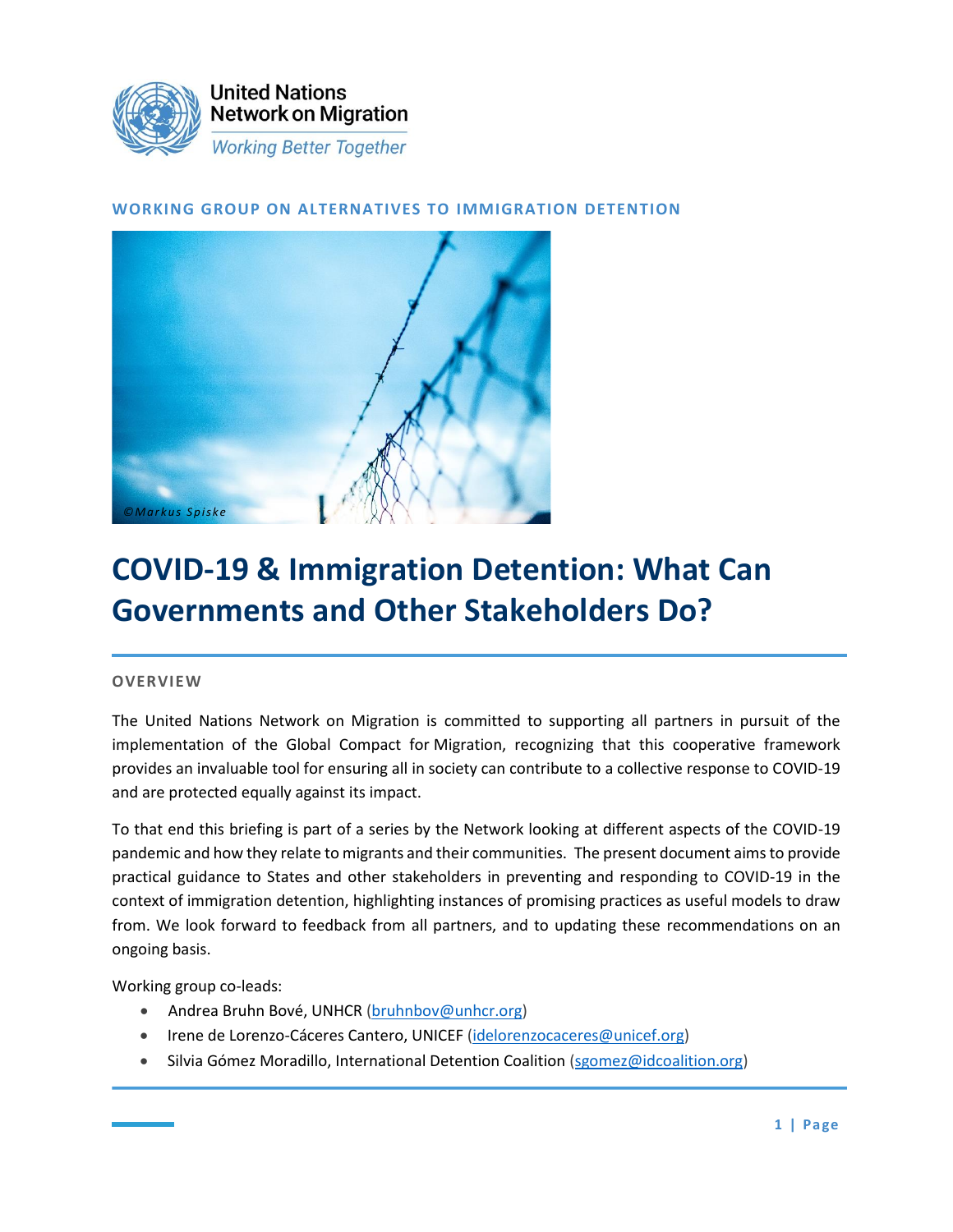

### **WORKING GROUP ON ALTERNATIVES TO IMMIGRATION DETENTION**



# **COVID-19 & Immigration Detention: What Can Governments and Other Stakeholders Do?**

#### **OVERVIEW**

The United Nations Network on Migration is committed to supporting all partners in pursuit of the implementation of the Global Compact for Migration, recognizing that this cooperative framework provides an invaluable tool for ensuring all in society can contribute to a collective response to COVID-19 and are protected equally against its impact.

To that end this briefing is part of a series by the Network looking at different aspects of the COVID-19 pandemic and how they relate to migrants and their communities. The present document aims to provide practical guidance to States and other stakeholders in preventing and responding to COVID-19 in the context of immigration detention, highlighting instances of promising practices as useful models to draw from. We look forward to feedback from all partners, and to updating these recommendations on an ongoing basis.

Working group co-leads:

- Andrea Bruhn Bové, UNHCR [\(bruhnbov@unhcr.org\)](mailto:bruhnbov@unhcr.org)
- Irene de Lorenzo-Cáceres Cantero, UNICEF [\(idelorenzocaceres@unicef.org\)](mailto:idelorenzocaceres@unicef.org)
- Silvia Gómez Moradillo, International Detention Coalition [\(sgomez@idcoalition.org\)](mailto:sgomez@idcoalition.org)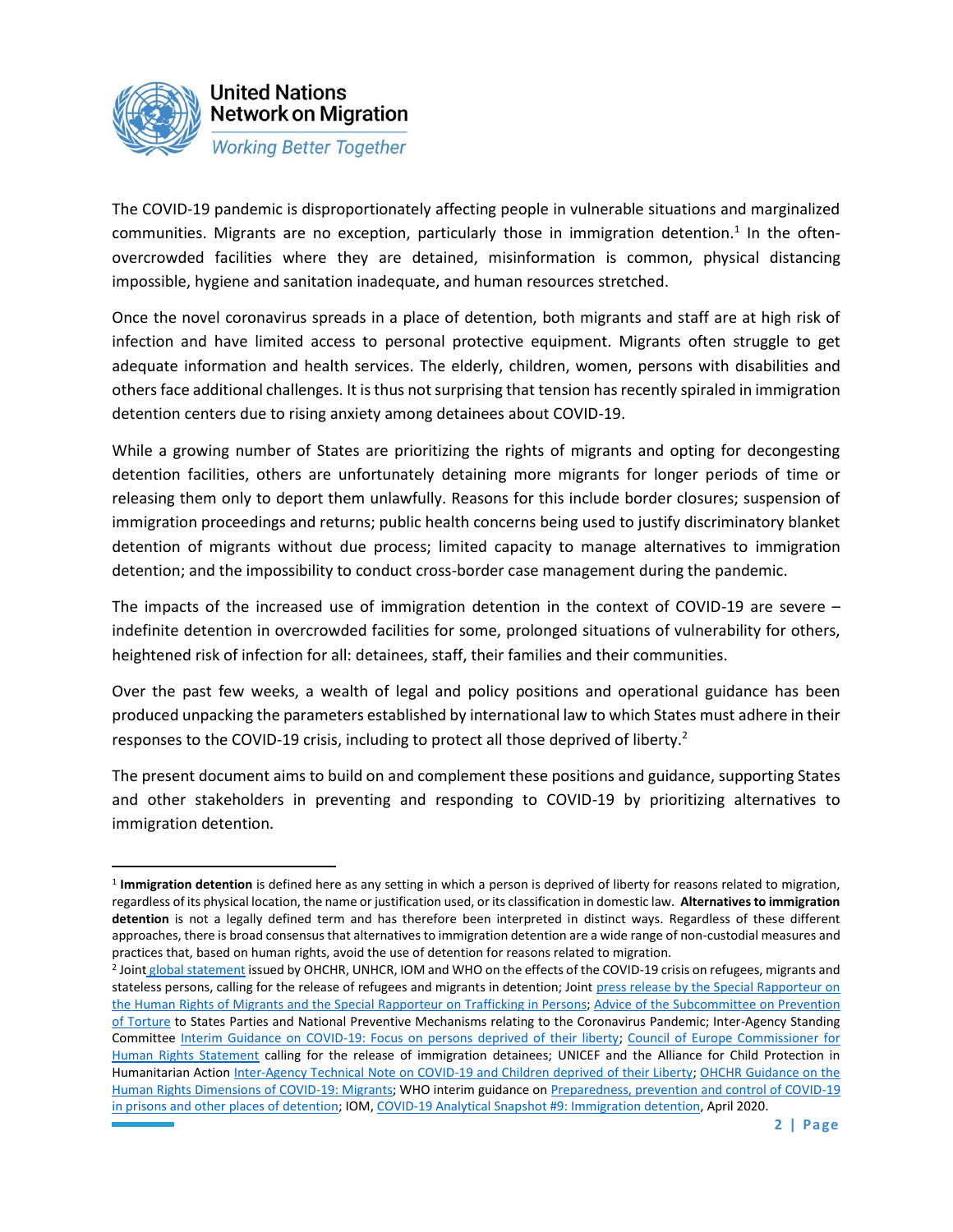

The COVID-19 pandemic is disproportionately affecting people in vulnerable situations and marginalized communities. Migrants are no exception, particularly those in immigration detention.<sup>1</sup> In the oftenovercrowded facilities where they are detained, misinformation is common, physical distancing impossible, hygiene and sanitation inadequate, and human resources stretched.

Once the novel coronavirus spreads in a place of detention, both migrants and staff are at high risk of infection and have limited access to personal protective equipment. Migrants often struggle to get adequate information and health services. The elderly, children, women, persons with disabilities and others face additional challenges. It is thus not surprising that tension has recently spiraled in immigration detention centers due to rising anxiety among detainees about COVID-19.

While a growing number of States are prioritizing the rights of migrants and opting for decongesting detention facilities, others are unfortunately detaining more migrants for longer periods of time or releasing them only to deport them unlawfully. Reasons for this include border closures; suspension of immigration proceedings and returns; public health concerns being used to justify discriminatory blanket detention of migrants without due process; limited capacity to manage alternatives to immigration detention; and the impossibility to conduct cross-border case management during the pandemic.

The impacts of the increased use of immigration detention in the context of COVID-19 are severe – indefinite detention in overcrowded facilities for some, prolonged situations of vulnerability for others, heightened risk of infection for all: detainees, staff, their families and their communities.

Over the past few weeks, a wealth of legal and policy positions and operational guidance has been produced unpacking the parameters established by international law to which States must adhere in their responses to the COVID-19 crisis, including to protect all those deprived of liberty.<sup>2</sup>

The present document aims to build on and complement these positions and guidance, supporting States and other stakeholders in preventing and responding to COVID-19 by prioritizing alternatives to immigration detention.

<sup>&</sup>lt;sup>1</sup> Immigration detention is defined here as any setting in which a person is deprived of liberty for reasons related to migration, regardless of its physical location, the name or justification used, or its classification in domestic law. **Alternatives to immigration detention** is not a legally defined term and has therefore been interpreted in distinct ways. Regardless of these different approaches, there is broad consensus that alternatives to immigration detention are a wide range of non-custodial measures and practices that, based on human rights, avoid the use of detention for reasons related to migration.

<sup>&</sup>lt;sup>2</sup> Joint [global statement](https://www.unhcr.org/news/press/2020/3/5e836f164/rights-health-refugees-migrants-stateless-must-protected-covid-19-response.html) issued by OHCHR, UNHCR, IOM and WHO on the effects of the COVID-19 crisis on refugees, migrants and stateless persons, calling for the release of refugees and migrants in detention; Joint [press release by the Special Rapporteur on](https://www.ohchr.org/EN/NewsEvents/Pages/DisplayNews.aspx?NewsID=25774&LangID=E)  the Human Rights of [Migrants and the Special Rapporteur on](https://www.ohchr.org/EN/NewsEvents/Pages/DisplayNews.aspx?NewsID=25774&LangID=E) Trafficking in Persons[; Advice of the Subcommittee on Prevention](https://www.ohchr.org/Documents/HRBodies/OPCAT/AdviceStatePartiesCoronavirusPandemic2020.pdf)  [of Torture](https://www.ohchr.org/Documents/HRBodies/OPCAT/AdviceStatePartiesCoronavirusPandemic2020.pdf) to States Parties and National Preventive Mechanisms relating to the Coronavirus Pandemic; Inter-Agency Standing Committee [Interim Guidance on COVID-19: Focus on persons deprived of their liberty;](https://interagencystandingcommittee.org/system/files/2020-03/IASC%20Interim%20Guidance%20on%20COVID-19%20-%20Focus%20on%20Persons%20Deprived%20of%20Their%20Liberty.pdf) [Council of Europe Commissioner for](https://www.coe.int/en/web/commissioner/-/commissioner-calls-for-release-of-immigration-detainees-while-covid-19-crisis-continues)  [Human Rights Statement](https://www.coe.int/en/web/commissioner/-/commissioner-calls-for-release-of-immigration-detainees-while-covid-19-crisis-continues) calling for the release of immigration detainees; UNICEF and the Alliance for Child Protection in Humanitarian Action [Inter-Agency Technical Note on COVID-19 and Children deprived of their Liberty;](https://alliancecpha.org/en/child-protection-online-library/technical-note-covid-19-and-children-deprived-their-liberty) [OHCHR Guidance on the](https://www.ohchr.org/Documents/Issues/Migration/OHCHRGuidanceCOVID-19_Migrants.pdf)  [Human Rights Dimensions of COVID-19: Migrants;](https://www.ohchr.org/Documents/Issues/Migration/OHCHRGuidanceCOVID-19_Migrants.pdf) WHO interim guidance on [Preparedness, prevention and control of COVID-19](http://www.euro.who.int/__data/assets/pdf_file/0019/434026/Preparedness-prevention-and-control-of-COVID-19-in-prisons.pdf?ua=1)  [in prisons and other places of detention;](http://www.euro.who.int/__data/assets/pdf_file/0019/434026/Preparedness-prevention-and-control-of-COVID-19-in-prisons.pdf?ua=1) IOM[, COVID-19 Analytical Snapshot #9: Immigration detention,](https://www.iom.int/sites/default/files/our_work/ICP/MPR/covid-19_analytical_snapshot_9_-_immigration_detention.pdf) April 2020.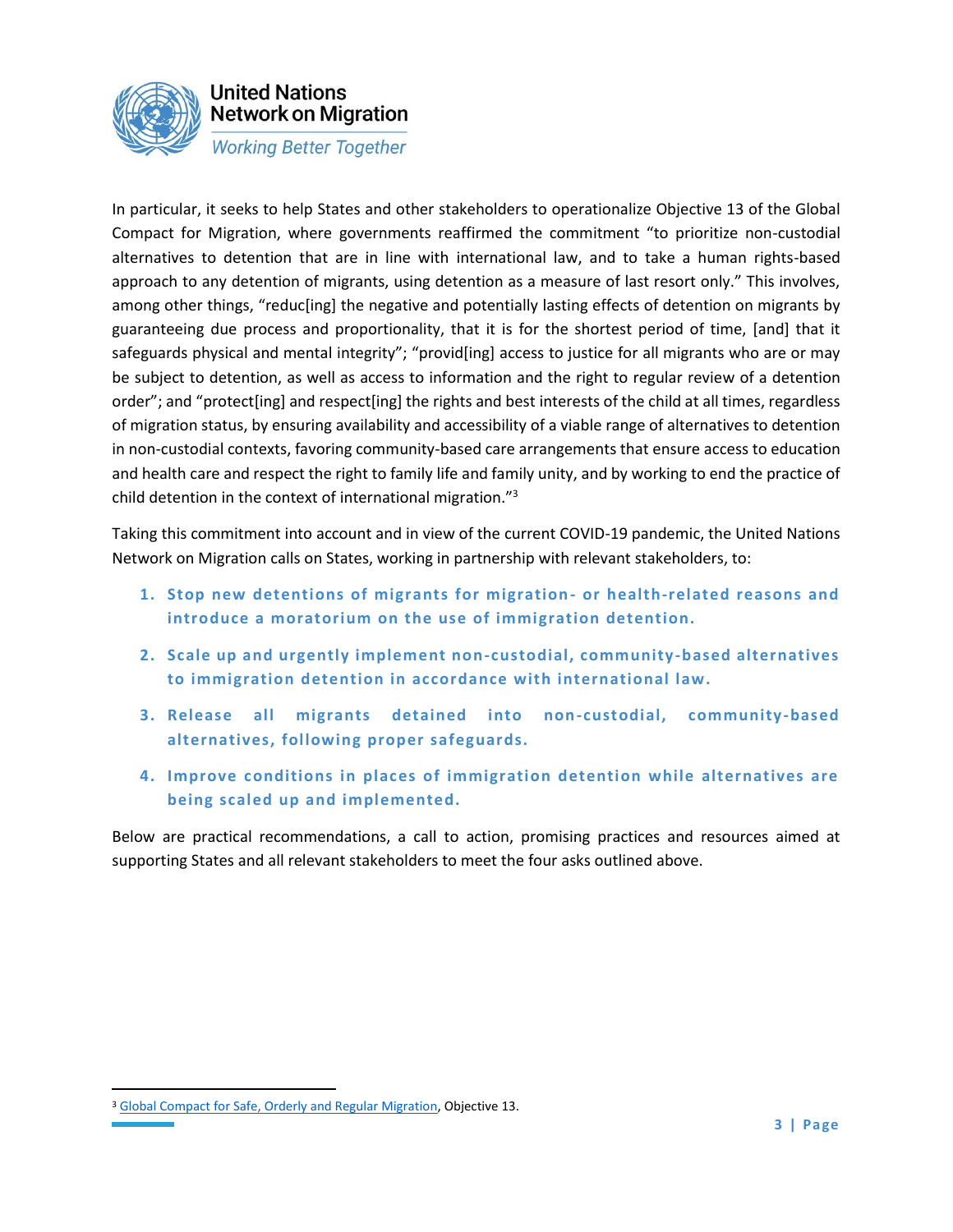

In particular, it seeks to help States and other stakeholders to operationalize Objective 13 of the Global Compact for Migration, where governments reaffirmed the commitment "to prioritize non-custodial alternatives to detention that are in line with international law, and to take a human rights-based approach to any detention of migrants, using detention as a measure of last resort only." This involves, among other things, "reduc[ing] the negative and potentially lasting effects of detention on migrants by guaranteeing due process and proportionality, that it is for the shortest period of time, [and] that it safeguards physical and mental integrity"; "provid[ing] access to justice for all migrants who are or may be subject to detention, as well as access to information and the right to regular review of a detention order"; and "protect[ing] and respect[ing] the rights and best interests of the child at all times, regardless of migration status, by ensuring availability and accessibility of a viable range of alternatives to detention in non-custodial contexts, favoring community-based care arrangements that ensure access to education and health care and respect the right to family life and family unity, and by working to end the practice of child detention in the context of international migration."<sup>3</sup>

Taking this commitment into account and in view of the current COVID-19 pandemic, the United Nations Network on Migration calls on States, working in partnership with relevant stakeholders, to:

- **1. Stop new detentions of migrants for migration - or health-related reasons and introduce a moratorium on the use of immigration detention.**
- **2. Scale up and urgently implement non-custodial, community-based alternatives to immigration detention in accordance with international law.**
- **3. Release all migrants detained into non-custodial, community-based alternatives, following proper safeguards.**
- **4. Improve conditions in places of immigration detention while alternatives are being scaled up and implemented.**

Below are practical recommendations, a call to action, promising practices and resources aimed at supporting States and all relevant stakeholders to meet the four asks outlined above.

<sup>&</sup>lt;sup>3</sup> [Global Compact for Safe, Orderly and Regular Migration,](https://undocs.org/en/A/CONF.231/3) Objective 13.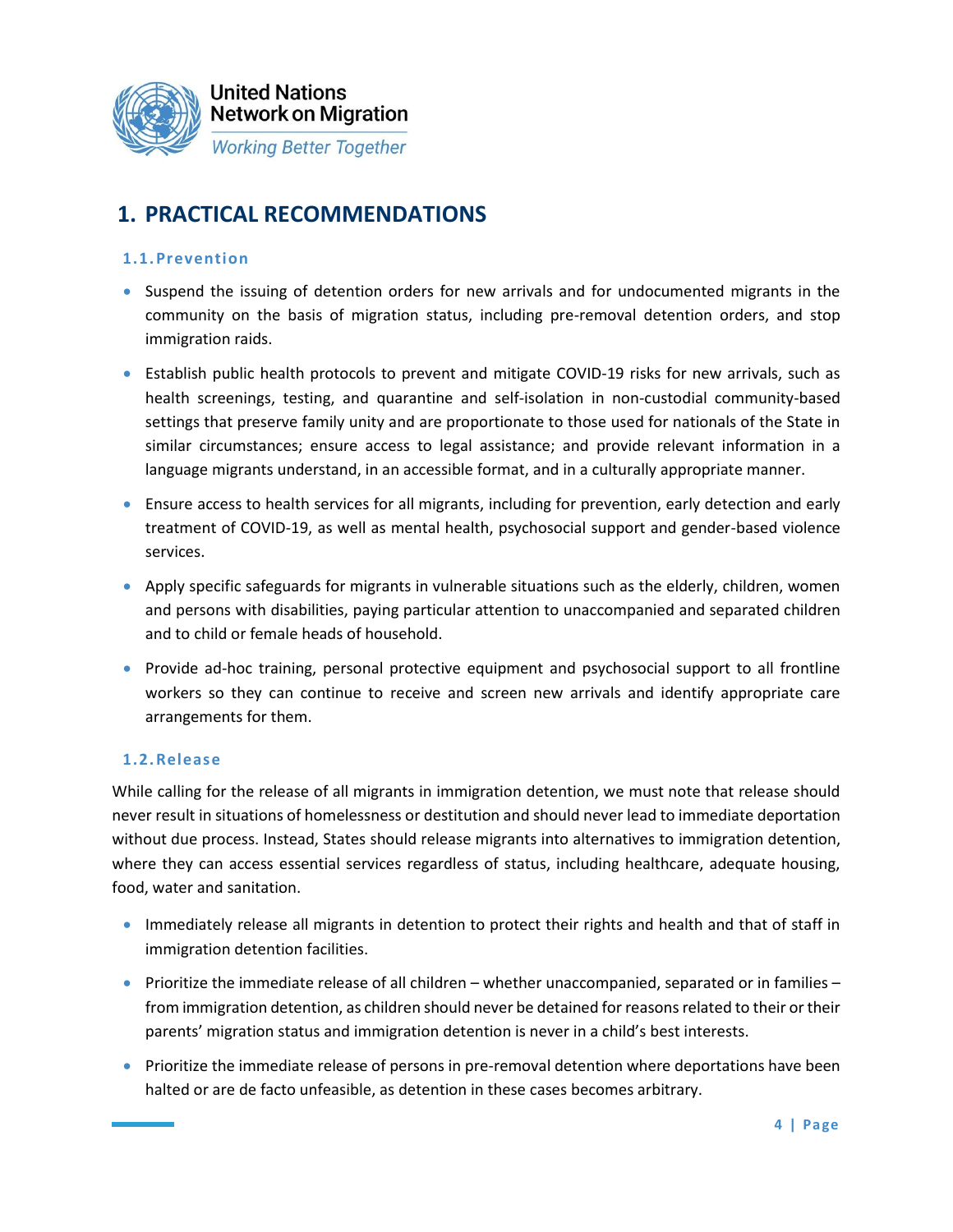

## **1. PRACTICAL RECOMMENDATIONS**

### **1.1.Prevention**

- Suspend the issuing of detention orders for new arrivals and for undocumented migrants in the community on the basis of migration status, including pre-removal detention orders, and stop immigration raids.
- Establish public health protocols to prevent and mitigate COVID-19 risks for new arrivals, such as health screenings, testing, and quarantine and self-isolation in non-custodial community-based settings that preserve family unity and are proportionate to those used for nationals of the State in similar circumstances; ensure access to legal assistance; and provide relevant information in a language migrants understand, in an accessible format, and in a culturally appropriate manner.
- Ensure access to health services for all migrants, including for prevention, early detection and early treatment of COVID-19, as well as mental health, psychosocial support and gender-based violence services.
- Apply specific safeguards for migrants in vulnerable situations such as the elderly, children, women and persons with disabilities, paying particular attention to unaccompanied and separated children and to child or female heads of household.
- Provide ad-hoc training, personal protective equipment and psychosocial support to all frontline workers so they can continue to receive and screen new arrivals and identify appropriate care arrangements for them.

### **1.2.Release**

While calling for the release of all migrants in immigration detention, we must note that release should never result in situations of homelessness or destitution and should never lead to immediate deportation without due process. Instead, States should release migrants into alternatives to immigration detention, where they can access essential services regardless of status, including healthcare, adequate housing, food, water and sanitation.

- Immediately release all migrants in detention to protect their rights and health and that of staff in immigration detention facilities.
- Prioritize the immediate release of all children whether unaccompanied, separated or in families from immigration detention, as children should never be detained for reasons related to their or their parents' migration status and immigration detention is never in a child's best interests.
- Prioritize the immediate release of persons in pre-removal detention where deportations have been halted or are de facto unfeasible, as detention in these cases becomes arbitrary.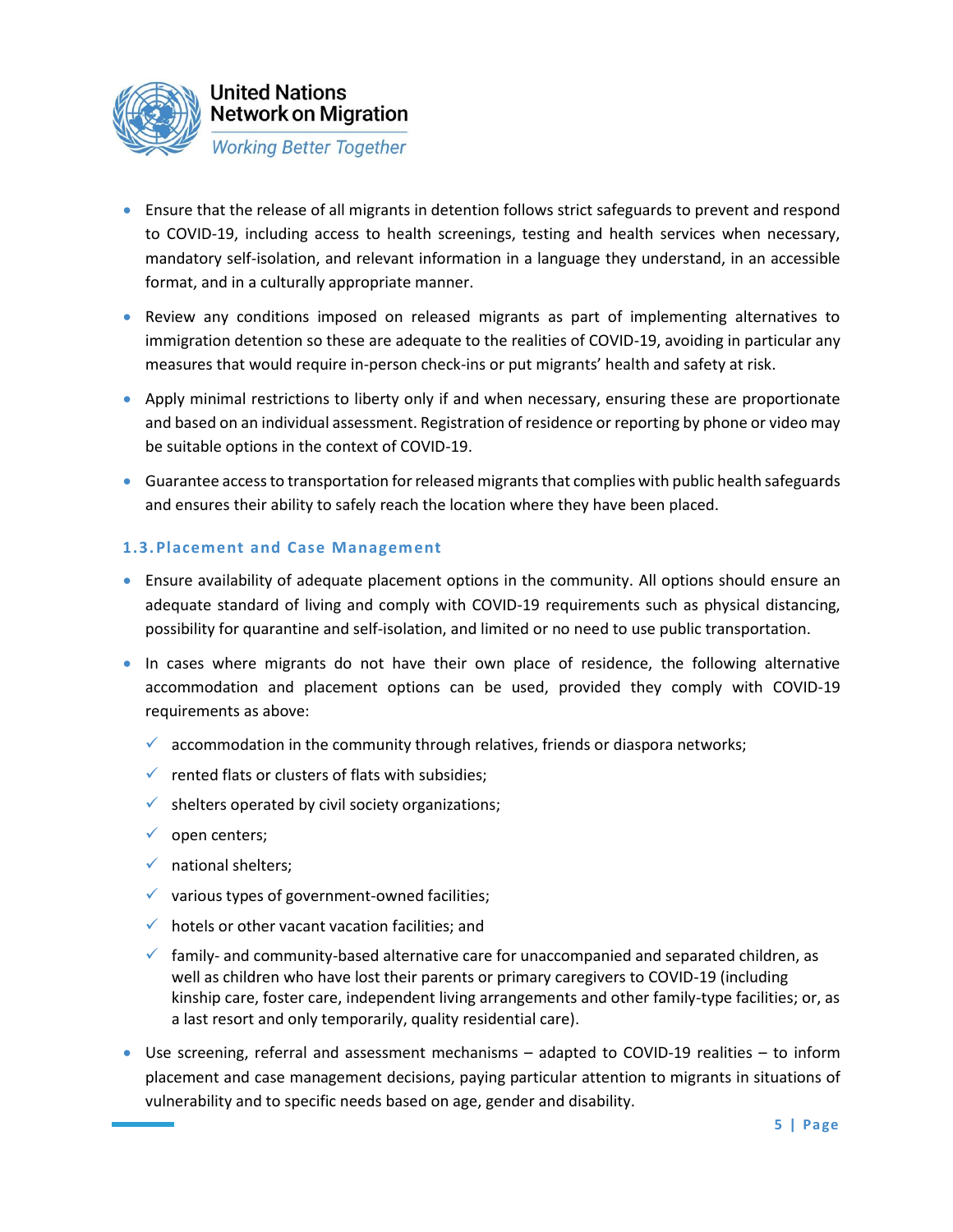

- Ensure that the release of all migrants in detention follows strict safeguards to prevent and respond to COVID-19, including access to health screenings, testing and health services when necessary, mandatory self-isolation, and relevant information in a language they understand, in an accessible format, and in a culturally appropriate manner.
- Review any conditions imposed on released migrants as part of implementing alternatives to immigration detention so these are adequate to the realities of COVID-19, avoiding in particular any measures that would require in-person check-ins or put migrants' health and safety at risk.
- Apply minimal restrictions to liberty only if and when necessary, ensuring these are proportionate and based on an individual assessment. Registration of residence or reporting by phone or video may be suitable options in the context of COVID-19.
- Guarantee access to transportation for released migrants that complies with public health safeguards and ensures their ability to safely reach the location where they have been placed.

### **1.3.Placement and Case Management**

- Ensure availability of adequate placement options in the community. All options should ensure an adequate standard of living and comply with COVID-19 requirements such as physical distancing, possibility for quarantine and self-isolation, and limited or no need to use public transportation.
- In cases where migrants do not have their own place of residence, the following alternative accommodation and placement options can be used, provided they comply with COVID-19 requirements as above:
	- $\checkmark$  accommodation in the community through relatives, friends or diaspora networks;
	- $\checkmark$  rented flats or clusters of flats with subsidies;
	- $\checkmark$  shelters operated by civil society organizations;
	- $\checkmark$  open centers;
	- $\checkmark$  national shelters;
	- ✓ various types of government-owned facilities;
	- $\checkmark$  hotels or other vacant vacation facilities; and
	- $\checkmark$  family- and community-based alternative care for unaccompanied and separated children, as well as children who have lost their parents or primary caregivers to COVID-19 (including kinship care, foster care, independent living arrangements and other family-type facilities; or, as a last resort and only temporarily, quality residential care).
- Use screening, referral and assessment mechanisms adapted to COVID-19 realities to inform placement and case management decisions, paying particular attention to migrants in situations of vulnerability and to specific needs based on age, gender and disability.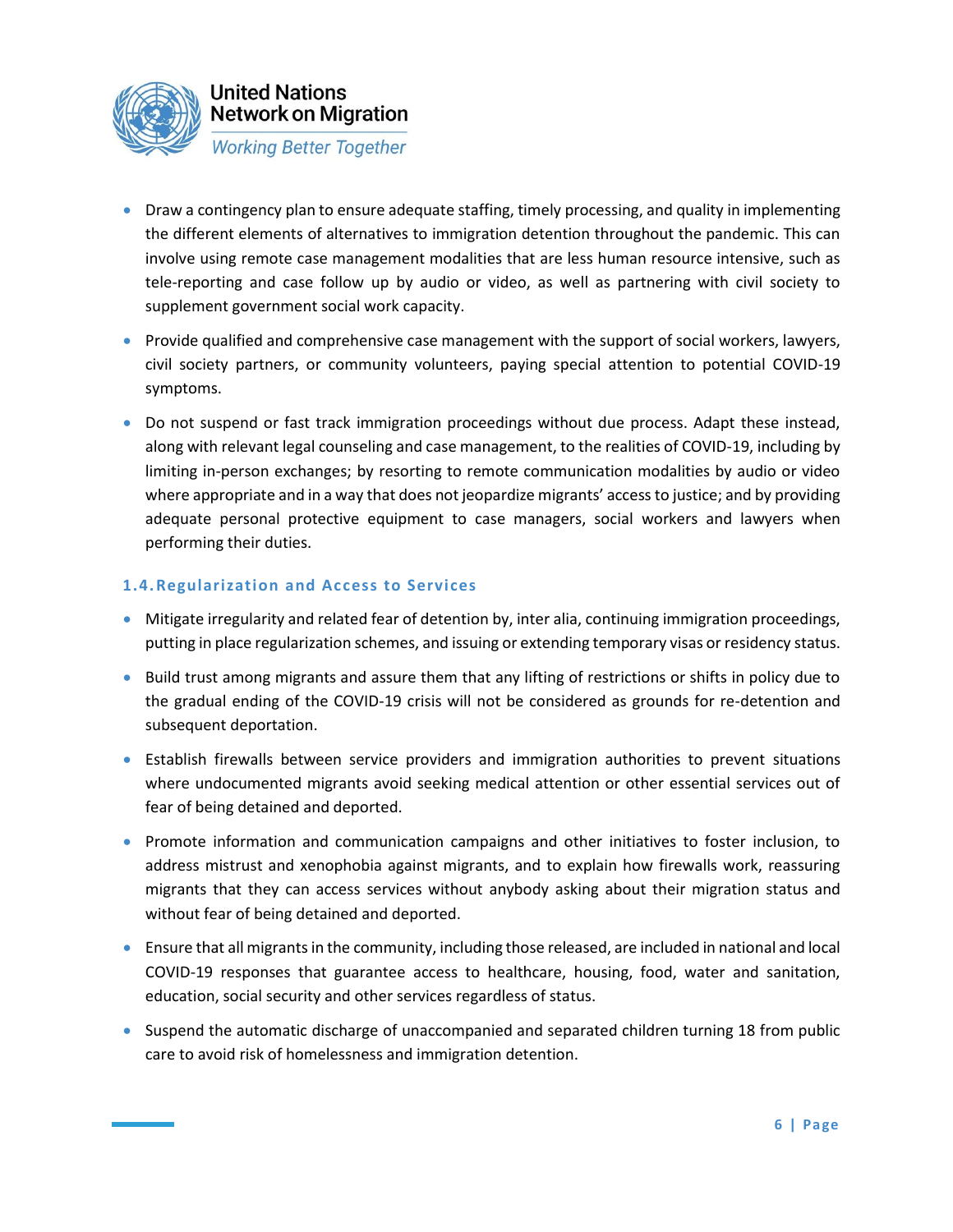

- Draw a contingency plan to ensure adequate staffing, timely processing, and quality in implementing the different elements of alternatives to immigration detention throughout the pandemic. This can involve using remote case management modalities that are less human resource intensive, such as tele-reporting and case follow up by audio or video, as well as partnering with civil society to supplement government social work capacity.
- Provide qualified and comprehensive case management with the support of social workers, lawyers, civil society partners, or community volunteers, paying special attention to potential COVID-19 symptoms.
- Do not suspend or fast track immigration proceedings without due process. Adapt these instead, along with relevant legal counseling and case management, to the realities of COVID-19, including by limiting in-person exchanges; by resorting to remote communication modalities by audio or video where appropriate and in a way that does not jeopardize migrants' access to justice; and by providing adequate personal protective equipment to case managers, social workers and lawyers when performing their duties.

### **1.4.Regularization and Access to Services**

- Mitigate irregularity and related fear of detention by, inter alia, continuing immigration proceedings, putting in place regularization schemes, and issuing or extending temporary visas or residency status.
- Build trust among migrants and assure them that any lifting of restrictions or shifts in policy due to the gradual ending of the COVID-19 crisis will not be considered as grounds for re-detention and subsequent deportation.
- Establish firewalls between service providers and immigration authorities to prevent situations where undocumented migrants avoid seeking medical attention or other essential services out of fear of being detained and deported.
- Promote information and communication campaigns and other initiatives to foster inclusion, to address mistrust and xenophobia against migrants, and to explain how firewalls work, reassuring migrants that they can access services without anybody asking about their migration status and without fear of being detained and deported.
- Ensure that all migrants in the community, including those released, are included in national and local COVID-19 responses that guarantee access to healthcare, housing, food, water and sanitation, education, social security and other services regardless of status.
- Suspend the automatic discharge of unaccompanied and separated children turning 18 from public care to avoid risk of homelessness and immigration detention.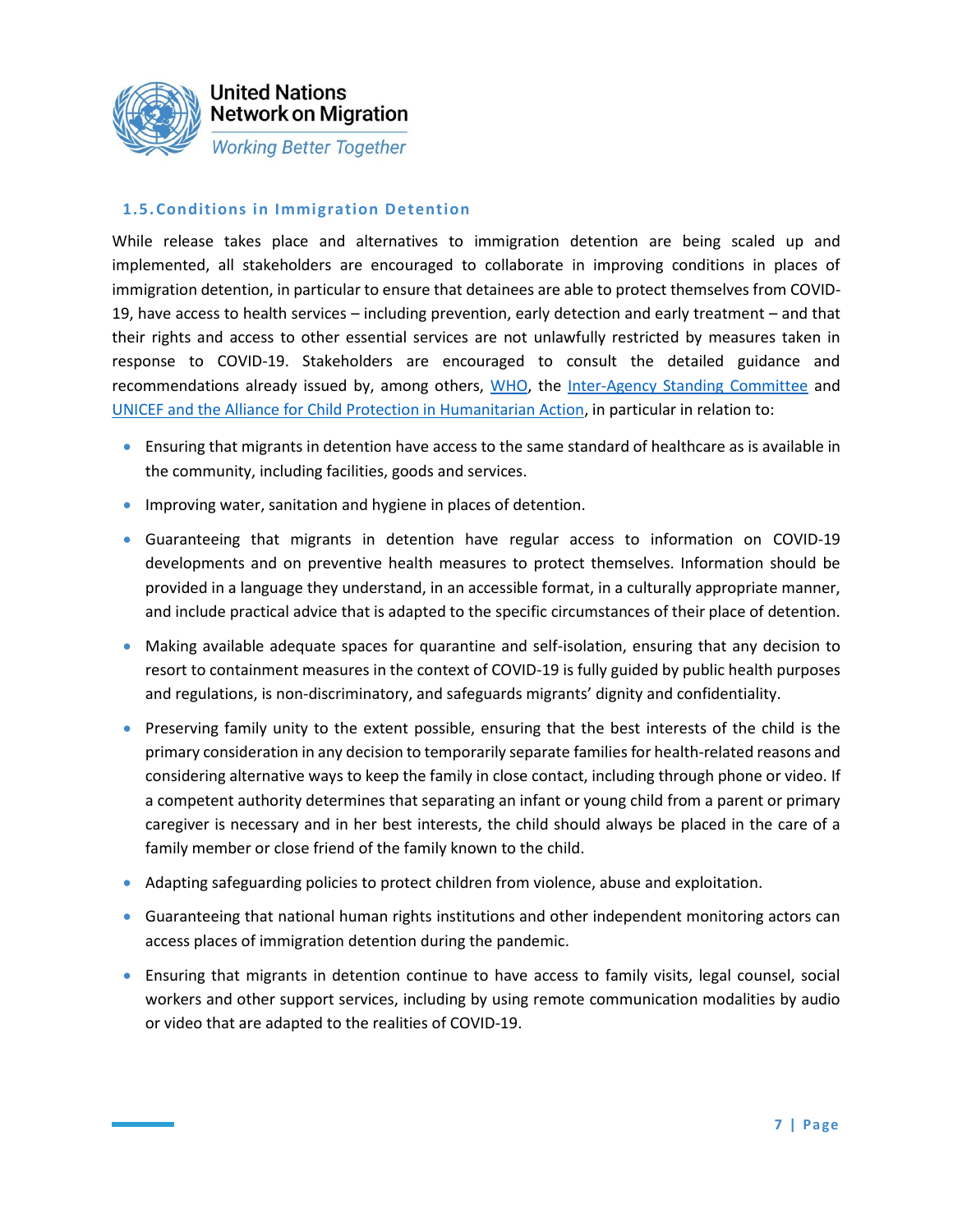

### **1.5.Conditions in Immigration Detention**

While release takes place and alternatives to immigration detention are being scaled up and implemented, all stakeholders are encouraged to collaborate in improving conditions in places of immigration detention, in particular to ensure that detainees are able to protect themselves from COVID-19, have access to health services – including prevention, early detection and early treatment – and that their rights and access to other essential services are not unlawfully restricted by measures taken in response to COVID-19. Stakeholders are encouraged to consult the detailed guidance and recommendations already issued by, among others, [WHO,](http://www.euro.who.int/__data/assets/pdf_file/0019/434026/Preparedness-prevention-and-control-of-COVID-19-in-prisons.pdf?ua=1) the [Inter-Agency Standing Committee](https://interagencystandingcommittee.org/system/files/2020-03/IASC%20Interim%20Guidance%20on%20COVID-19%20-%20Focus%20on%20Persons%20Deprived%20of%20Their%20Liberty.pdf) and [UNICEF and the Alliance for Child Protection in Humanitarian Action,](https://alliancecpha.org/en/child-protection-online-library/technical-note-covid-19-and-children-deprived-their-liberty) in particular in relation to:

- Ensuring that migrants in detention have access to the same standard of healthcare as is available in the community, including facilities, goods and services.
- Improving water, sanitation and hygiene in places of detention.
- Guaranteeing that migrants in detention have regular access to information on COVID-19 developments and on preventive health measures to protect themselves. Information should be provided in a language they understand, in an accessible format, in a culturally appropriate manner, and include practical advice that is adapted to the specific circumstances of their place of detention.
- Making available adequate spaces for quarantine and self-isolation, ensuring that any decision to resort to containment measures in the context of COVID-19 is fully guided by public health purposes and regulations, is non-discriminatory, and safeguards migrants' dignity and confidentiality.
- Preserving family unity to the extent possible, ensuring that the best interests of the child is the primary consideration in any decision to temporarily separate families for health-related reasons and considering alternative ways to keep the family in close contact, including through phone or video. If a competent authority determines that separating an infant or young child from a parent or primary caregiver is necessary and in her best interests, the child should always be placed in the care of a family member or close friend of the family known to the child.
- Adapting safeguarding policies to protect children from violence, abuse and exploitation.
- Guaranteeing that national human rights institutions and other independent monitoring actors can access places of immigration detention during the pandemic.
- Ensuring that migrants in detention continue to have access to family visits, legal counsel, social workers and other support services, including by using remote communication modalities by audio or video that are adapted to the realities of COVID-19.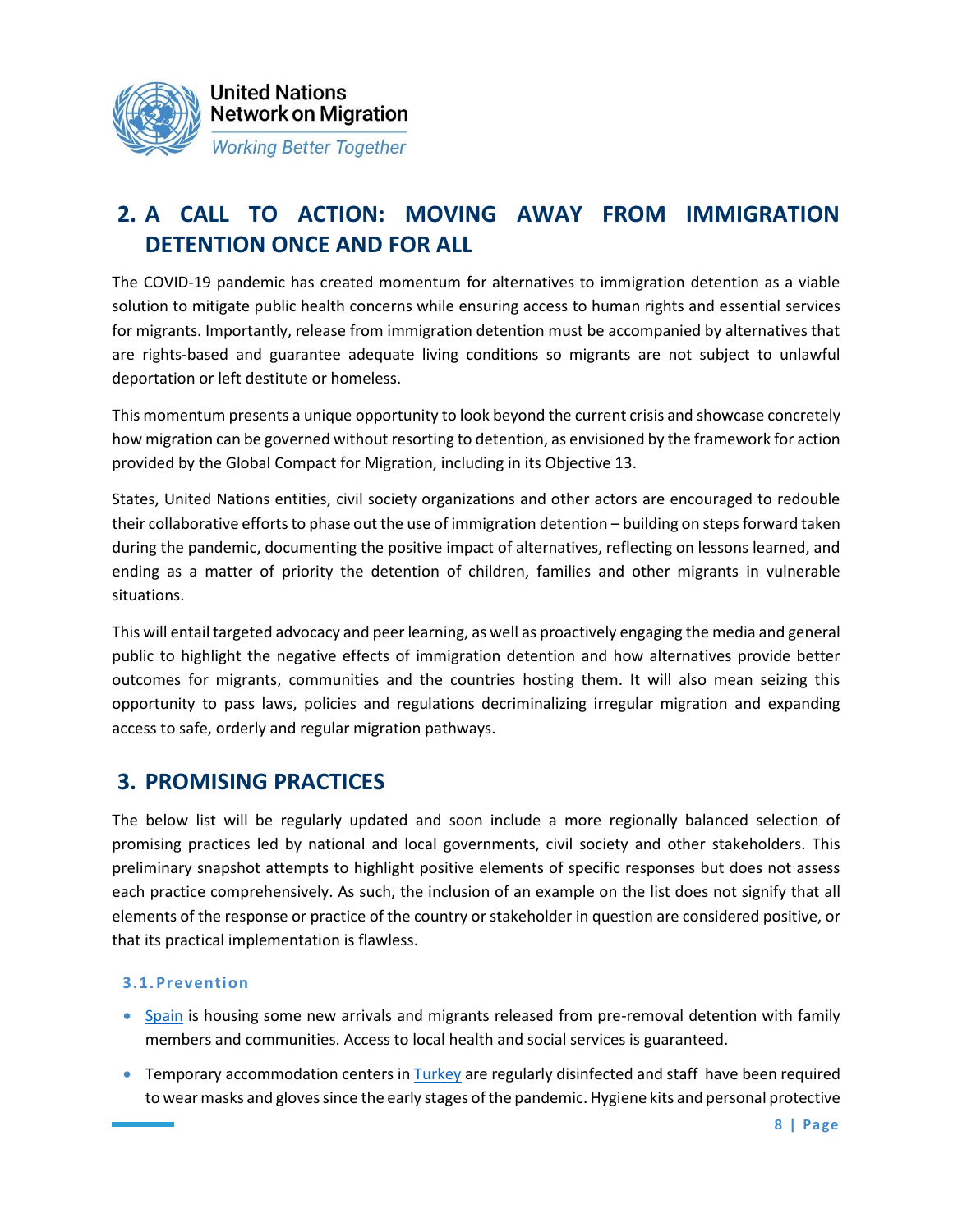

# **2. A CALL TO ACTION: MOVING AWAY FROM IMMIGRATION DETENTION ONCE AND FOR ALL**

The COVID-19 pandemic has created momentum for alternatives to immigration detention as a viable solution to mitigate public health concerns while ensuring access to human rights and essential services for migrants. Importantly, release from immigration detention must be accompanied by alternatives that are rights-based and guarantee adequate living conditions so migrants are not subject to unlawful deportation or left destitute or homeless.

This momentum presents a unique opportunity to look beyond the current crisis and showcase concretely how migration can be governed without resorting to detention, as envisioned by the framework for action provided by the Global Compact for Migration, including in its Objective 13.

States, United Nations entities, civil society organizations and other actors are encouraged to redouble their collaborative efforts to phase out the use of immigration detention – building on steps forward taken during the pandemic, documenting the positive impact of alternatives, reflecting on lessons learned, and ending as a matter of priority the detention of children, families and other migrants in vulnerable situations.

This will entail targeted advocacy and peer learning, as well as proactively engaging the media and general public to highlight the negative effects of immigration detention and how alternatives provide better outcomes for migrants, communities and the countries hosting them. It will also mean seizing this opportunity to pass laws, policies and regulations decriminalizing irregular migration and expanding access to safe, orderly and regular migration pathways.

### **3. PROMISING PRACTICES**

The below list will be regularly updated and soon include a more regionally balanced selection of promising practices led by national and local governments, civil society and other stakeholders. This preliminary snapshot attempts to highlight positive elements of specific responses but does not assess each practice comprehensively. As such, the inclusion of an example on the list does not signify that all elements of the response or practice of the country or stakeholder in question are considered positive, or that its practical implementation is flawless.

### **3.1.Prevention**

- [Spain](https://www.lavanguardia.com/politica/20200319/474263064358/interior-abre-puerta-liberar-internos-cie.html) is housing some new arrivals and migrants released from pre-removal detention with family members and communities. Access to local health and social services is guaranteed.
- Temporary accommodation centers in [Turkey](https://data2.unhcr.org/en/documents/download/75453) are regularly disinfected and staff have been required to wear masks and gloves since the early stages of the pandemic. Hygiene kits and personal protective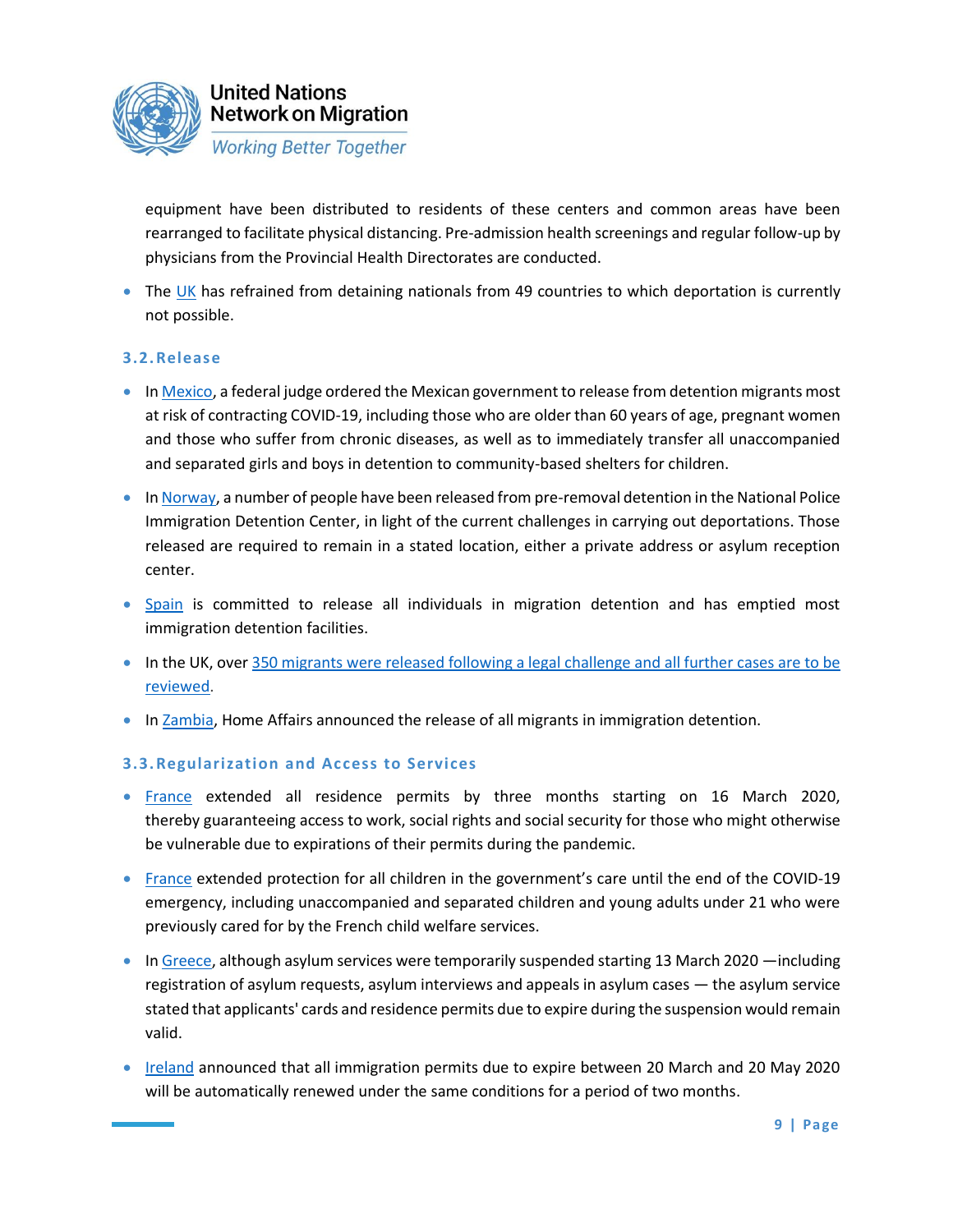

equipment have been distributed to residents of these centers and common areas have been rearranged to facilitate physical distancing. Pre-admission health screenings and regular follow-up by physicians from the Provincial Health Directorates are conducted.

• The [UK](https://righttoremain.org.uk/changes-to-the-asylum-process-due-to-covid-19/#detention) has refrained from detaining nationals from 49 countries to which deportation is currently not possible.

### **3.2.Release**

- In [Mexico,](https://mexicotoday.com/2020/04/17/judge-orders-release-of-migrants-most-at-risk-for-coronavirus/) a federal judge ordered the Mexican government to release from detention migrants most at risk of contracting COVID-19, including those who are older than 60 years of age, pregnant women and those who suffer from chronic diseases, as well as to immediately transfer all unaccompanied and separated girls and boys in detention to community-based shelters for children.
- In [Norway,](https://www.politiet.no/aktuelt-tall-og-fakta/aktuelt/nyheter/2020/03/18/loslatelser-fra-utlendingsinternatet/) a number of people have been released from pre-removal detention in the National Police Immigration Detention Center, in light of the current challenges in carrying out deportations. Those released are required to remain in a stated location, either a private address or asylum reception center.
- [Spain](https://www.eldiario.es/cv/CIE-Valencia-queda-vacio_0_1014549270.html) is committed to release all individuals in migration detention and has emptied most immigration detention facilities.
- In the UK, over [350 migrants were released following a legal challenge and all further cases are to be](https://detentionaction.org.uk/2020/03/26/press-release-over-350-released-from-immigration-detention-and-all-cases-to-be-urgently-reviewed/)  [reviewed.](https://detentionaction.org.uk/2020/03/26/press-release-over-350-released-from-immigration-detention-and-all-cases-to-be-urgently-reviewed/)
- In [Zambia,](https://mobile.nation.co.ke/news/africa/Covid-19--Zambia-to-release-detained-foreigners/3126394-5521880-rpjlk9z/index.html) Home Affairs announced the release of all migrants in immigration detention.

### **3.3.Regularization and Access to Services**

- [France](https://www.iom.int/news/iom-recognizes-efforts-europe-middle-east-protect-all-migrants-access-public-health) extended all residence permits by three months starting on 16 March 2020, thereby guaranteeing access to work, social rights and social security for those who might otherwise be vulnerable due to expirations of their permits during the pandemic.
- [France](https://www.legifrance.gouv.fr/affichTexte.do?cidTexte=JORFTEXT000041746313&dateTexte=&categorieLien=id) extended protection for all children in the government's care until the end of the COVID-19 emergency, including unaccompanied and separated children and young adults under 21 who were previously cared for by the French child welfare services.
- In [Greece,](https://www.iom.int/news/iom-recognizes-efforts-europe-middle-east-protect-all-migrants-access-public-health) although asylum services were temporarily suspended starting 13 March 2020 —including registration of asylum requests, asylum interviews and appeals in asylum cases — the asylum service stated that applicants' cards and residence permits due to expire during the suspension would remain valid.
- [Ireland](http://www.inis.gov.ie/en/INIS/frequently-asked-questions-immigration-permission-covid-19-temporary-measures.pdf/Files/frequently-asked-questions-immigration-permission-covid-19-temporary-measures.pdf) announced that all immigration permits due to expire between 20 March and 20 May 2020 will be automatically renewed under the same conditions for a period of two months.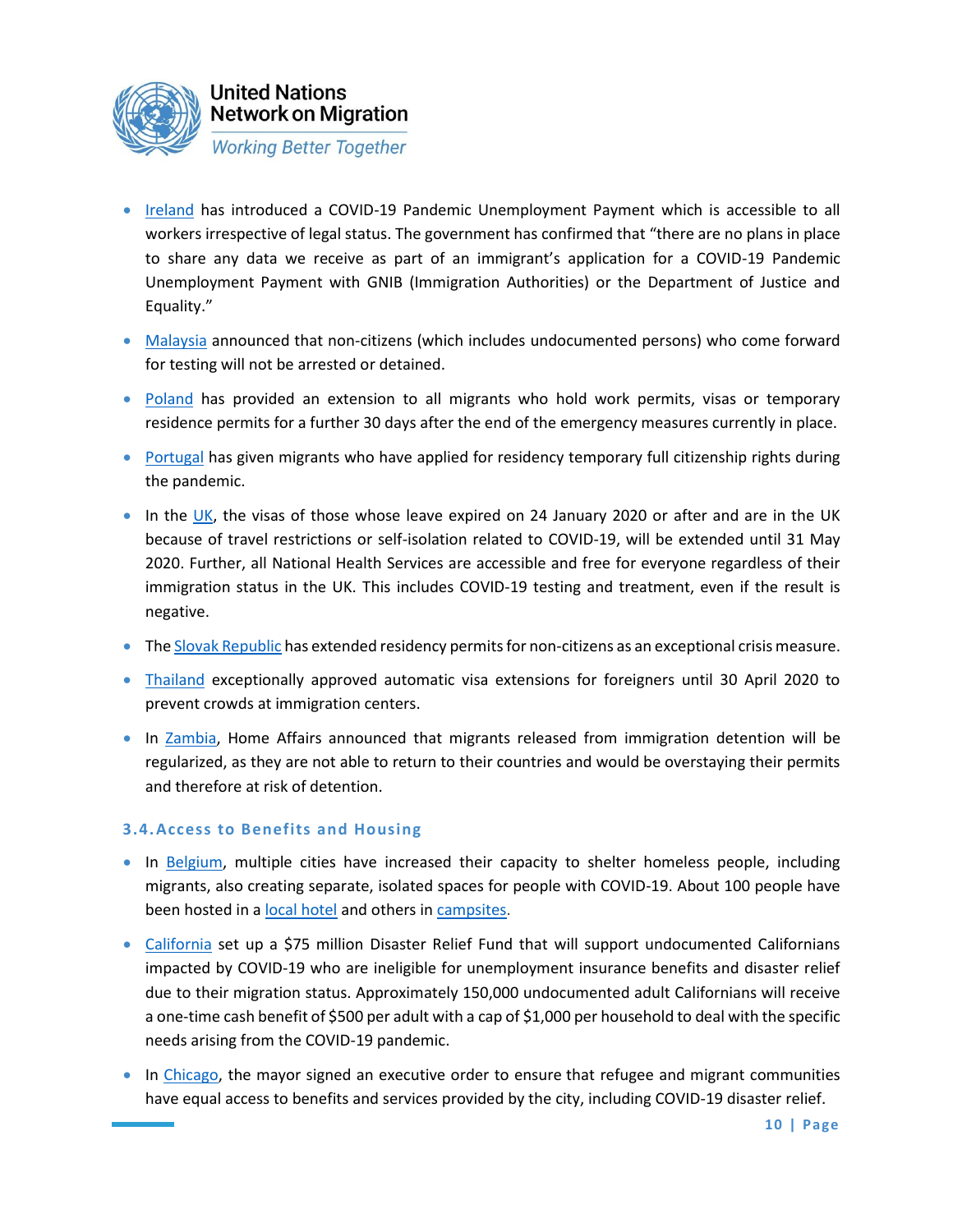

- [Ireland](https://www.gov.ie/en/service/be74d3-covid-19-pandemic-unemployment-payment/) has introduced a COVID-19 Pandemic Unemployment Payment which is accessible to all workers irrespective of legal status. The government has confirmed that "there are no plans in place to share any data we receive as part of an immigrant's application for a COVID-19 Pandemic Unemployment Payment with GNIB (Immigration Authorities) or the Department of Justice and Equality."
- [Malaysia](https://eur02.safelinks.protection.outlook.com/?url=https%3A%2F%2Fwww.nst.com.my%2Fnews%2Fnation%2F2020%2F03%2F577004%2Fdont-worry-about-being-detained-just-come-forward-covid-19-testing-please&data=02%7C01%7Cbruhnbov%40unhcr.org%7C12c227021d7f44148cd308d7d6f9d874%7Ce5c37981666441348a0c6543d2af80be%7C0%7C0%7C637214240881985271&sdata=%2B9RW3N3Kt8pixoWnF%2FNm6ns3IGsLioRwGyV%2BpDeB0q8%3D&reserved=0) announced that non-citizens (which includes undocumented persons) who come forward for testing will not be arrested or detained.
- [Poland](https://www.schengenvisainfo.com/news/poland-extends-visas-and-permits-for-foreigners-for-another-30-days/) has provided an extension to all migrants who hold work permits, visas or temporary residence permits for a further 30 days after the end of the emergency measures currently in place.
- [Portugal](https://edition.cnn.com/2020/03/30/europe/portugal-migrants-citizenship-rights-coronavirus-intl/index.html) has given migrants who have applied for residency temporary full citizenship rights during the pandemic.
- In [the](https://www.iom.int/news/iom-recognizes-efforts-europe-middle-east-protect-all-migrants-access-public-health) UK, the visas of those whose leave expired on 24 January 2020 or after and are in the UK because of travel restrictions or self-isolation related to COVID-19, will be extended until 31 May 2020. Further, all National Health Services are accessible and free for everyone regardless of their immigration status in the UK. This includes COVID-19 testing and treatment, even if the result is negative.
- The [Slovak Republic](https://www.iom.int/news/iom-recognizes-efforts-europe-middle-east-protect-all-migrants-access-public-health) has extended residency permits for non-citizens as an exceptional crisis measure.
- [Thailand](https://www.bangkokpost.com/learning/easy/1896470/foreigners-visas-automatically-extended) exceptionally approved automatic visa extensions for foreigners until 30 April 2020 to prevent crowds at immigration centers.
- In [Zambia,](https://mobile.nation.co.ke/news/africa/Covid-19--Zambia-to-release-detained-foreigners/3126394-5521880-rpjlk9z/index.html) Home Affairs announced that migrants released from immigration detention will be regularized, as they are not able to return to their countries and would be overstaying their permits and therefore at risk of detention.

### **3.4.Access to Benefits and Housing**

- In [Belgium,](https://www.rtbf.be/info/belgique/detail_coronavirus-en-belgique-les-premiers-sans-abris-confines-a-bruxelles?id=10461622) multiple cities have increased their capacity to shelter homeless people, including migrants, also creating separate, isolated spaces for people with COVID-19. About 100 people have been hosted in a [local hotel](https://www.lesoir.be/288901/article/2020-03-20/coronavirus-un-hotel-bruxellois-pour-confiner-les-migrants-la-rue) and others in [campsites.](https://www.fedasil.be/fr/actualites/accueil-des-demandeurs-dasile/prolongation-de-laccueil-dans-les-campings)
- [California](https://iomint.sharepoint.com/sites/UNNMTWG2/Shared%20Documents/General/Another%20thing%20that%20California%20did%20for%20immigrants%20is%20to%20commit%20state%20funding%20to%20support%20migrant%20populations%20not%20covered%20by%20federal%20coronavirus%20support%20(which%20at%20present%20is%20not%20available%20for%20most%20migrants,%20or%20US%20citizen%20children%20of%20migrants).%20See%20https:/www.gov.ca.gov/2020/04/15/governor-newsom-announces-new-initiatives-to-support-california-workers-impacted-by-covid-19/) set up a \$75 million Disaster Relief Fund that will support undocumented Californians impacted by COVID-19 who are ineligible for unemployment insurance benefits and disaster relief due to their migration status. Approximately 150,000 undocumented adult Californians will receive a one-time cash benefit of \$500 per adult with a cap of \$1,000 per household to deal with the specific needs arising from the COVID-19 pandemic.
- In [Chicago,](https://thehill.com/homenews/state-watch/491572-chicago-mayor-signs-order-ensuring-immigrants-and-refugees-have-access) the mayor signed an executive order to ensure that refugee and migrant communities have equal access to benefits and services provided by the city, including COVID-19 disaster relief.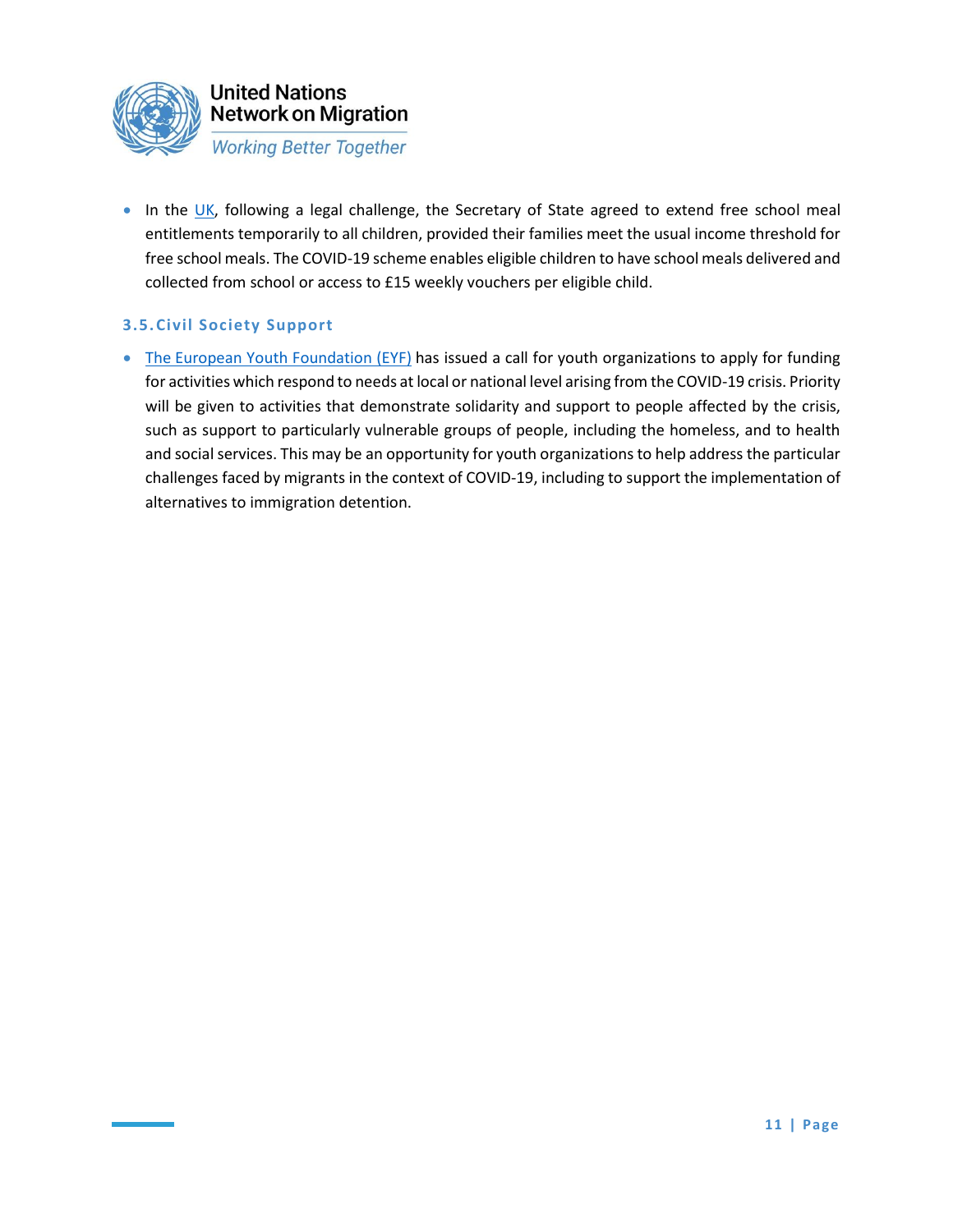

• In the [UK,](https://www.gov.uk/government/publications/covid-19-free-school-meals-guidance/covid-19-free-school-meals-guidance-for-schools) following a legal challenge, the Secretary of State agreed to extend free school meal entitlements temporarily to all children, provided their families meet the usual income threshold for free school meals. The COVID-19 scheme enables eligible children to have school meals delivered and collected from school or access to £15 weekly vouchers per eligible child.

### **3.5.Civil Society Support**

• The [European Youth Foundation \(EYF\)](https://www.coe.int/en/web/portal/-/-mitigating-the-effects-of-the-covid-19-crisis-council-of-europe-to-provide-funding-to-youth-organisations) has issued a call for youth organizations to apply for funding for activities which respond to needs at local or national level arising from the COVID-19 crisis. Priority will be given to activities that demonstrate solidarity and support to people affected by the crisis, such as support to particularly vulnerable groups of people, including the homeless, and to health and social services. This may be an opportunity for youth organizations to help address the particular challenges faced by migrants in the context of COVID-19, including to support the implementation of alternatives to immigration detention.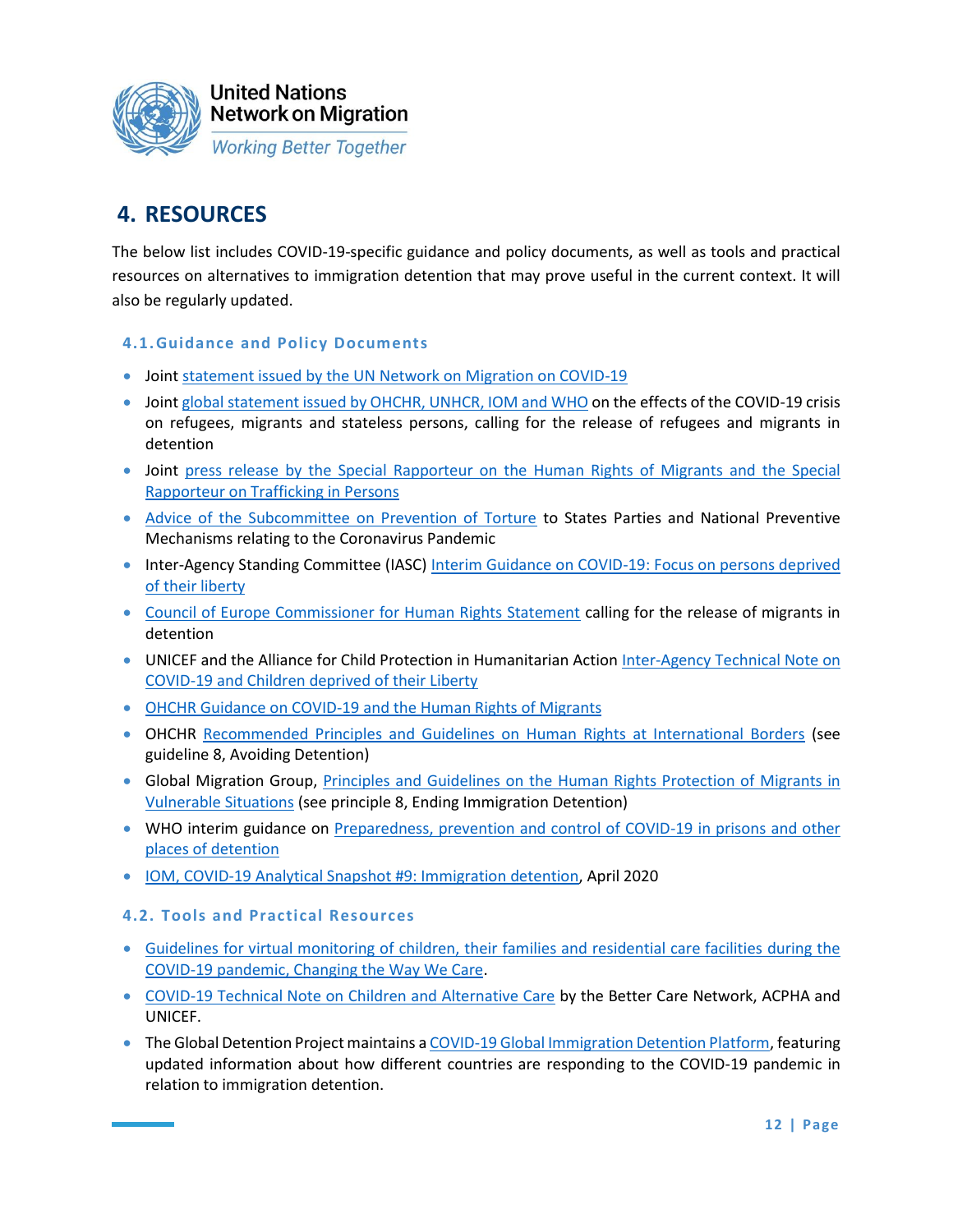

# **4. RESOURCES**

The below list includes COVID-19-specific guidance and policy documents, as well as tools and practical resources on alternatives to immigration detention that may prove useful in the current context. It will also be regularly updated.

### **4.1.Guidance and Policy Documents**

- Joint [statement issued by the UN Network on Migration on COVID-19](https://www.ohchr.org/EN/NewsEvents/Pages/DisplayNews.aspx?NewsID=25730&LangID=E)
- Joint [global statement issued by OHCHR, UNHCR, IOM and WHO](https://www.unhcr.org/news/press/2020/3/5e836f164/rights-health-refugees-migrants-stateless-must-protected-covid-19-response.html) on the effects of the COVID-19 crisis on refugees, migrants and stateless persons, calling for the release of refugees and migrants in detention
- Joint press release by the Special Rapporteur on the Human Rights of Migrants and the Special [Rapporteur on Trafficking](https://www.ohchr.org/EN/NewsEvents/Pages/DisplayNews.aspx?NewsID=25774&LangID=E) in Persons
- [Advice of the Subcommittee on Prevention of Torture](https://www.ohchr.org/Documents/HRBodies/OPCAT/AdviceStatePartiesCoronavirusPandemic2020.pdf) to States Parties and National Preventive Mechanisms relating to the Coronavirus Pandemic
- Inter-Agency Standing Committee (IASC) [Interim Guidance on COVID-19: Focus on persons deprived](https://interagencystandingcommittee.org/system/files/2020-03/IASC%20Interim%20Guidance%20on%20COVID-19%20-%20Focus%20on%20Persons%20Deprived%20of%20Their%20Liberty.pdf)  [of their liberty](https://interagencystandingcommittee.org/system/files/2020-03/IASC%20Interim%20Guidance%20on%20COVID-19%20-%20Focus%20on%20Persons%20Deprived%20of%20Their%20Liberty.pdf)
- [Council of Europe Commissioner for Human Rights Statement](https://www.coe.int/en/web/commissioner/-/commissioner-calls-for-release-of-immigration-detainees-while-covid-19-crisis-continues) calling for the release of migrants in detention
- UNICEF and the Alliance for Child Protection in Humanitarian Action Inter-Agency Technical Note on [COVID-19 and Children deprived of their Liberty](https://alliancecpha.org/en/child-protection-online-library/technical-note-covid-19-and-children-deprived-their-liberty)
- [OHCHR Guidance on COVID-19 and the Human Rights of Migrants](https://www.ohchr.org/Documents/Issues/Migration/OHCHRGuidanceCOVID-19_Migrants.pdf)
- OHCHR [Recommended Principles and Guidelines on Human Rights at International Borders](https://www.ohchr.org/Documents/Issues/Migration/OHCHR_Recommended_Principles_Guidelines.pdf) (see guideline 8, Avoiding Detention)
- Global Migration Group, [Principles and Guidelines on the Human Rights Protection of Migrants in](https://www.ohchr.org/Documents/Issues/Migration/PrinciplesAndGuidelines.pdf)  [Vulnerable Situations](https://www.ohchr.org/Documents/Issues/Migration/PrinciplesAndGuidelines.pdf) (see principle 8, Ending Immigration Detention)
- WHO interim guidance on [Preparedness, prevention and control of COVID-19 in prisons and other](http://www.euro.who.int/__data/assets/pdf_file/0019/434026/Preparedness-prevention-and-control-of-COVID-19-in-prisons.pdf?ua=1)  [places of detention](http://www.euro.who.int/__data/assets/pdf_file/0019/434026/Preparedness-prevention-and-control-of-COVID-19-in-prisons.pdf?ua=1)
- [IOM, COVID-19 Analytical Snapshot #9: Immigration detention,](https://www.iom.int/sites/default/files/our_work/ICP/MPR/covid-19_analytical_snapshot_9_-_immigration_detention.pdf) April 2020

### **4.2. Tools and Practical Resources**

- [Guidelines for virtual monitoring of children, their families and residential care facilities during the](https://alliancecpha.org/en/child-protection-online-library/guidelines-virtual-monitoring-children-their-families-and)  [COVID-19 pandemic, Changing the Way We Care.](https://alliancecpha.org/en/child-protection-online-library/guidelines-virtual-monitoring-children-their-families-and)
- [COVID-19 Technical Note on Children and Alternative Care](https://bettercarenetwork.org/sites/default/files/2020-04/COVID-19AlternativeCareTechnicalNote.pdf) by the Better Care Network, ACPHA and UNICEF.
- The Global Detention Project maintains [a COVID-19 Global Immigration Detention Platform,](https://www.globaldetentionproject.org/covid-19-immigration-detention-platform) featuring updated information about how different countries are responding to the COVID-19 pandemic in relation to immigration detention.